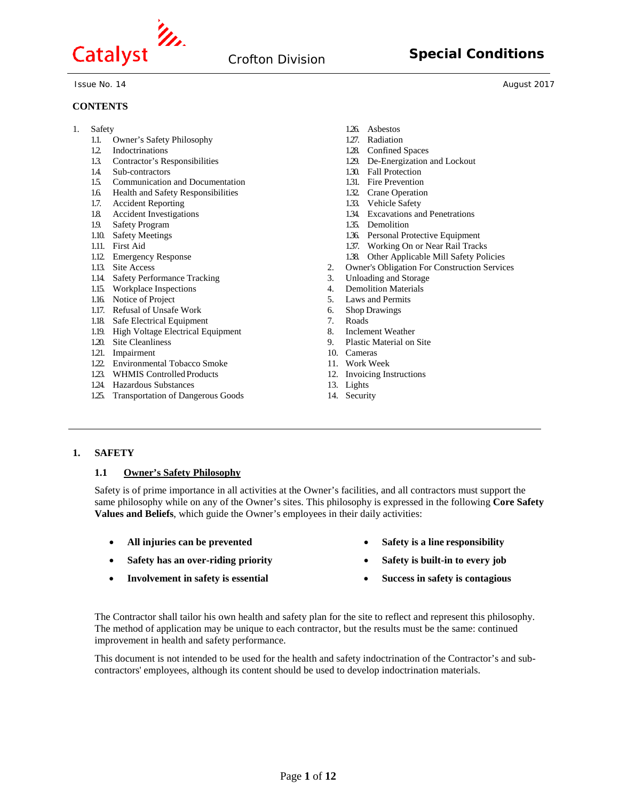

#### **CONTENTS**

1. Safety

- 1.1. Owner's Safety Philosophy
- 1.2. Indoctrinations
- 1.3. Contractor's Responsibilities
- 1.4. Sub-contractors
- 1.5. Communication and Documentation
- 1.6. Health and Safety Responsibilities
- 1.7. Accident Reporting
- 1.8. Accident Investigations
- 1.9. Safety Program
- 1.10. Safety Meetings
- 1.11. First Aid
- 1.12. Emergency Response
- 1.13. Site Access
- 1.14. Safety Performance Tracking
- 1.15. Workplace Inspections
- 1.16. Notice of Project
- 1.17. Refusal of Unsafe Work
- 1.18. Safe Electrical Equipment
- 1.19. High Voltage Electrical Equipment
- 1.20. Site Cleanliness
- 1.21. Impairment
- 1.22. Environmental Tobacco Smoke
- 1.23. WHMIS Controlled Products
- 1.24. Hazardous Substances
- 1.25. Transportation of Dangerous Goods
- 1.26. Asbestos
- 1.27. Radiation
- 1.28. Confined Spaces
- 1.29. De-Energization and Lockout
- 1.30. Fall Protection
- 1.31. Fire Prevention
- 1.32. Crane Operation
- 1.33. Vehicle Safety
- 1.34. Excavations and Penetrations 1.35. Demolition
- 
- 1.36. Personal Protective Equipment
- 1.37. Working On or Near Rail Tracks
- 1.38. Other Applicable Mill Safety Policies
- 2. Owner's Obligation For Construction Services
- 3. Unloading and Storage
- 4. Demolition Materials<br>5. Laws and Permits
- 5. Laws and Permits<br>6. Shop Drawings
- 6. Shop Drawings
- 7. Roads
- Inclement Weather 9. Plastic Material on Site
- 10. Cameras
- 11. Work Week
- 12. Invoicing Instructions
- 13. Lights
- 14. Security

# **1. SAFETY**

#### **1.1 Owner's Safety Philosophy**

Safety is of prime importance in all activities at the Owner's facilities, and all contractors must support the same philosophy while on any of the Owner's sites. This philosophy is expressed in the following **Core Safety Values and Beliefs**, which guide the Owner's employees in their daily activities:

- **All injuries can be prevented**
- **Safety has an over-riding priority**
- **Involvement in safety is essential**
- **Safety is a line responsibility**
- **Safety is built-in to every job**
- **Success in safety is contagious**

The Contractor shall tailor his own health and safety plan for the site to reflect and represent this philosophy. The method of application may be unique to each contractor, but the results must be the same: continued improvement in health and safety performance.

This document is not intended to be used for the health and safety indoctrination of the Contractor's and subcontractors' employees, although its content should be used to develop indoctrination materials.

Issue No. 14 August 2017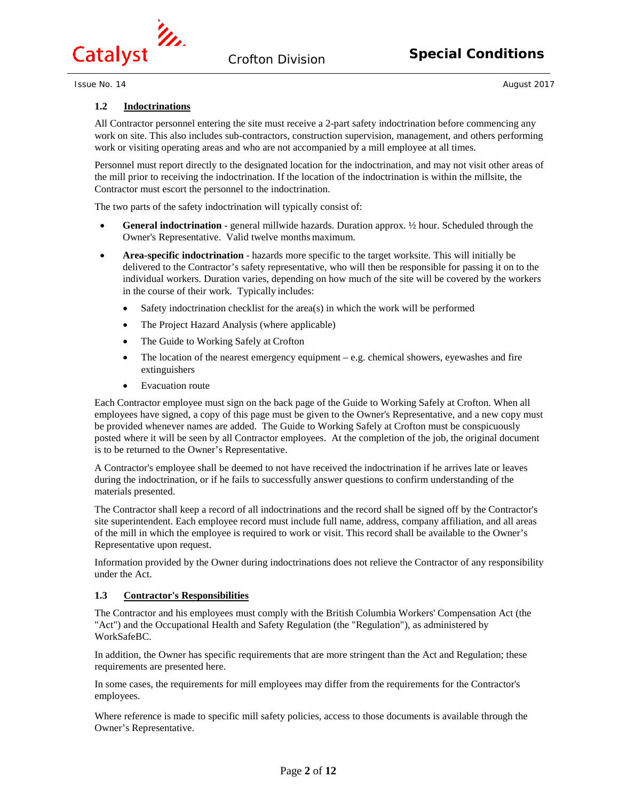

# **1.2 Indoctrinations**

All Contractor personnel entering the site must receive a 2-part safety indoctrination before commencing any work on site. This also includes sub-contractors, construction supervision, management, and others performing work or visiting operating areas and who are not accompanied by a mill employee at all times.

Personnel must report directly to the designated location for the indoctrination, and may not visit other areas of the mill prior to receiving the indoctrination. If the location of the indoctrination is within the millsite, the Contractor must escort the personnel to the indoctrination.

The two parts of the safety indoctrination will typically consist of:

- **General indoctrination**  general millwide hazards. Duration approx. ½ hour. Scheduled through the Owner's Representative. Valid twelve months maximum.
- **Area-specific indoctrination**  hazards more specific to the target worksite. This will initially be delivered to the Contractor's safety representative, who will then be responsible for passing it on to the individual workers. Duration varies, depending on how much of the site will be covered by the workers in the course of their work. Typically includes:
	- Safety indoctrination checklist for the area(s) in which the work will be performed
	- The Project Hazard Analysis (where applicable)
	- The Guide to Working Safely at Crofton
	- The location of the nearest emergency equipment  $-$  e.g. chemical showers, eyewashes and fire extinguishers
	- Evacuation route

Each Contractor employee must sign on the back page of the Guide to Working Safely at Crofton. When all employees have signed, a copy of this page must be given to the Owner's Representative, and a new copy must be provided whenever names are added. The Guide to Working Safely at Crofton must be conspicuously posted where it will be seen by all Contractor employees. At the completion of the job, the original document is to be returned to the Owner's Representative.

A Contractor's employee shall be deemed to not have received the indoctrination if he arrives late or leaves during the indoctrination, or if he fails to successfully answer questions to confirm understanding of the materials presented.

The Contractor shall keep a record of all indoctrinations and the record shall be signed off by the Contractor's site superintendent. Each employee record must include full name, address, company affiliation, and all areas of the mill in which the employee is required to work or visit. This record shall be available to the Owner's Representative upon request.

Information provided by the Owner during indoctrinations does not relieve the Contractor of any responsibility under the Act.

# **1.3 Contractor's Responsibilities**

The Contractor and his employees must comply with the British Columbia Workers' Compensation Act (the "Act") and the Occupational Health and Safety Regulation (the "Regulation"), as administered by WorkSafeBC.

In addition, the Owner has specific requirements that are more stringent than the Act and Regulation; these requirements are presented here.

In some cases, the requirements for mill employees may differ from the requirements for the Contractor's employees.

Where reference is made to specific mill safety policies, access to those documents is available through the Owner's Representative.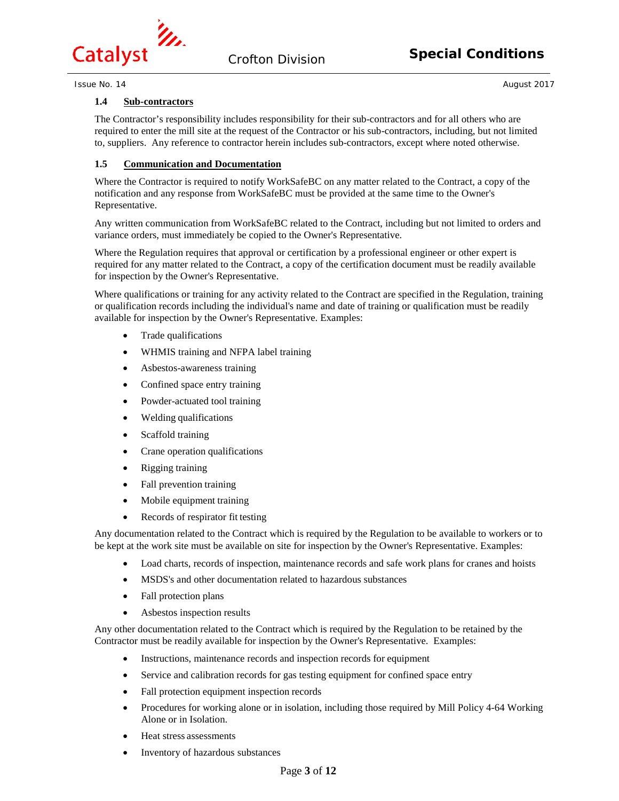

## **1.4 Sub-contractors**

The Contractor's responsibility includes responsibility for their sub-contractors and for all others who are required to enter the mill site at the request of the Contractor or his sub-contractors, including, but not limited to, suppliers. Any reference to contractor herein includes sub-contractors, except where noted otherwise.

# **1.5 Communication and Documentation**

Where the Contractor is required to notify WorkSafeBC on any matter related to the Contract, a copy of the notification and any response from WorkSafeBC must be provided at the same time to the Owner's Representative.

Any written communication from WorkSafeBC related to the Contract, including but not limited to orders and variance orders, must immediately be copied to the Owner's Representative.

Where the Regulation requires that approval or certification by a professional engineer or other expert is required for any matter related to the Contract, a copy of the certification document must be readily available for inspection by the Owner's Representative.

Where qualifications or training for any activity related to the Contract are specified in the Regulation, training or qualification records including the individual's name and date of training or qualification must be readily available for inspection by the Owner's Representative. Examples:

- Trade qualifications
- WHMIS training and NFPA label training
- Asbestos-awareness training
- Confined space entry training
- Powder-actuated tool training
- Welding qualifications
- Scaffold training
- Crane operation qualifications
- Rigging training
- Fall prevention training
- Mobile equipment training
- Records of respirator fit testing

Any documentation related to the Contract which is required by the Regulation to be available to workers or to be kept at the work site must be available on site for inspection by the Owner's Representative. Examples:

- Load charts, records of inspection, maintenance records and safe work plans for cranes and hoists
- MSDS's and other documentation related to hazardous substances
- Fall protection plans
- Asbestos inspection results

Any other documentation related to the Contract which is required by the Regulation to be retained by the Contractor must be readily available for inspection by the Owner's Representative. Examples:

- Instructions, maintenance records and inspection records for equipment
- Service and calibration records for gas testing equipment for confined space entry
- Fall protection equipment inspection records
- Procedures for working alone or in isolation, including those required by Mill Policy 4-64 Working Alone or in Isolation.
- Heat stress assessments
- Inventory of hazardous substances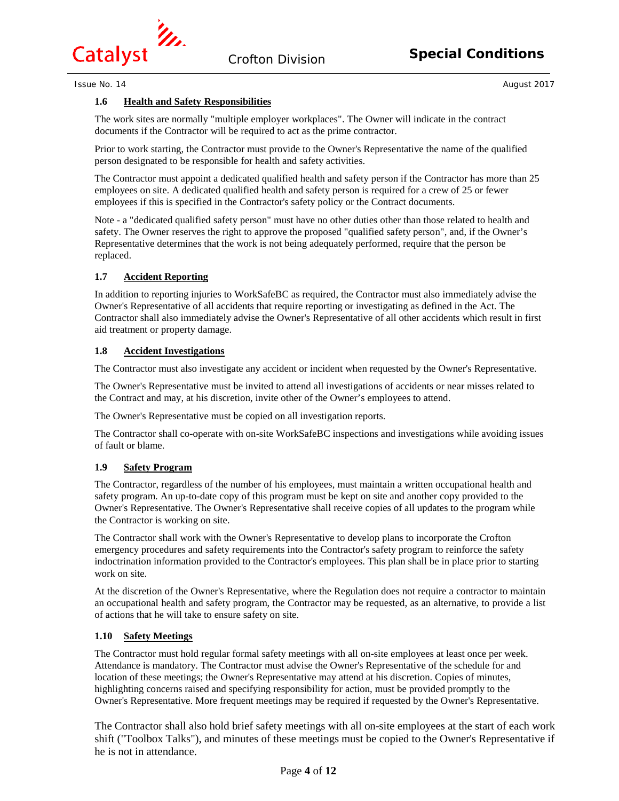

# **1.6 Health and Safety Responsibilities**

The work sites are normally "multiple employer workplaces". The Owner will indicate in the contract documents if the Contractor will be required to act as the prime contractor.

Prior to work starting, the Contractor must provide to the Owner's Representative the name of the qualified person designated to be responsible for health and safety activities.

The Contractor must appoint a dedicated qualified health and safety person if the Contractor has more than 25 employees on site. A dedicated qualified health and safety person is required for a crew of 25 or fewer employees if this is specified in the Contractor's safety policy or the Contract documents.

Note - a "dedicated qualified safety person" must have no other duties other than those related to health and safety. The Owner reserves the right to approve the proposed "qualified safety person", and, if the Owner's Representative determines that the work is not being adequately performed, require that the person be replaced.

# **1.7 Accident Reporting**

In addition to reporting injuries to WorkSafeBC as required, the Contractor must also immediately advise the Owner's Representative of all accidents that require reporting or investigating as defined in the Act. The Contractor shall also immediately advise the Owner's Representative of all other accidents which result in first aid treatment or property damage.

# **1.8 Accident Investigations**

The Contractor must also investigate any accident or incident when requested by the Owner's Representative.

The Owner's Representative must be invited to attend all investigations of accidents or near misses related to the Contract and may, at his discretion, invite other of the Owner's employees to attend.

The Owner's Representative must be copied on all investigation reports.

The Contractor shall co-operate with on-site WorkSafeBC inspections and investigations while avoiding issues of fault or blame.

# **1.9 Safety Program**

The Contractor, regardless of the number of his employees, must maintain a written occupational health and safety program. An up-to-date copy of this program must be kept on site and another copy provided to the Owner's Representative. The Owner's Representative shall receive copies of all updates to the program while the Contractor is working on site.

The Contractor shall work with the Owner's Representative to develop plans to incorporate the Crofton emergency procedures and safety requirements into the Contractor's safety program to reinforce the safety indoctrination information provided to the Contractor's employees. This plan shall be in place prior to starting work on site.

At the discretion of the Owner's Representative, where the Regulation does not require a contractor to maintain an occupational health and safety program, the Contractor may be requested, as an alternative, to provide a list of actions that he will take to ensure safety on site.

# **1.10 Safety Meetings**

The Contractor must hold regular formal safety meetings with all on-site employees at least once per week. Attendance is mandatory. The Contractor must advise the Owner's Representative of the schedule for and location of these meetings; the Owner's Representative may attend at his discretion. Copies of minutes, highlighting concerns raised and specifying responsibility for action, must be provided promptly to the Owner's Representative. More frequent meetings may be required if requested by the Owner's Representative.

The Contractor shall also hold brief safety meetings with all on-site employees at the start of each work shift ("Toolbox Talks"), and minutes of these meetings must be copied to the Owner's Representative if he is not in attendance.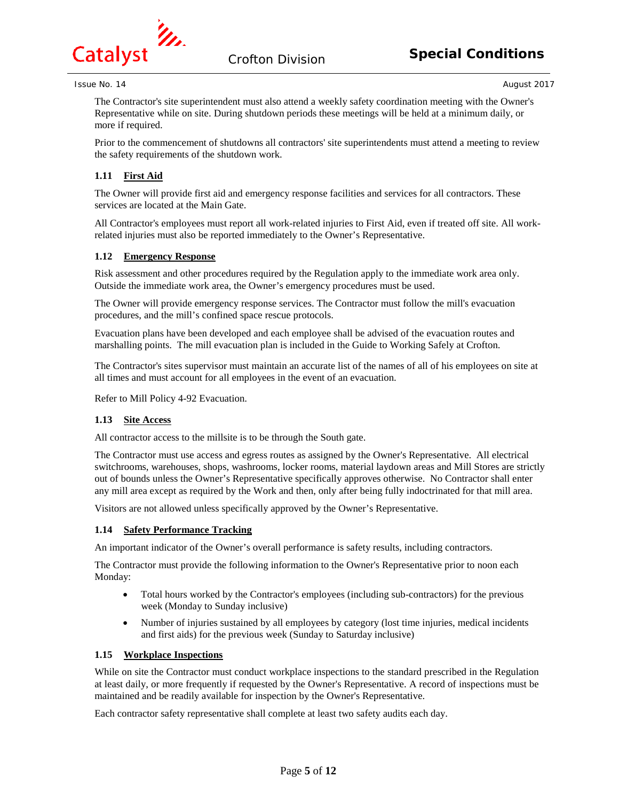

The Contractor's site superintendent must also attend a weekly safety coordination meeting with the Owner's Representative while on site. During shutdown periods these meetings will be held at a minimum daily, or more if required.

Prior to the commencement of shutdowns all contractors' site superintendents must attend a meeting to review the safety requirements of the shutdown work.

# **1.11 First Aid**

The Owner will provide first aid and emergency response facilities and services for all contractors. These services are located at the Main Gate.

All Contractor's employees must report all work-related injuries to First Aid, even if treated off site. All workrelated injuries must also be reported immediately to the Owner's Representative.

# **1.12 Emergency Response**

Risk assessment and other procedures required by the Regulation apply to the immediate work area only. Outside the immediate work area, the Owner's emergency procedures must be used.

The Owner will provide emergency response services. The Contractor must follow the mill's evacuation procedures, and the mill's confined space rescue protocols.

Evacuation plans have been developed and each employee shall be advised of the evacuation routes and marshalling points. The mill evacuation plan is included in the Guide to Working Safely at Crofton.

The Contractor's sites supervisor must maintain an accurate list of the names of all of his employees on site at all times and must account for all employees in the event of an evacuation.

Refer to Mill Policy 4-92 Evacuation.

# **1.13 Site Access**

All contractor access to the millsite is to be through the South gate.

The Contractor must use access and egress routes as assigned by the Owner's Representative. All electrical switchrooms, warehouses, shops, washrooms, locker rooms, material laydown areas and Mill Stores are strictly out of bounds unless the Owner's Representative specifically approves otherwise. No Contractor shall enter any mill area except as required by the Work and then, only after being fully indoctrinated for that mill area.

Visitors are not allowed unless specifically approved by the Owner's Representative.

# **1.14 Safety Performance Tracking**

An important indicator of the Owner's overall performance is safety results, including contractors.

The Contractor must provide the following information to the Owner's Representative prior to noon each Monday:

- Total hours worked by the Contractor's employees (including sub-contractors) for the previous week (Monday to Sunday inclusive)
- Number of injuries sustained by all employees by category (lost time injuries, medical incidents and first aids) for the previous week (Sunday to Saturday inclusive)

# **1.15 Workplace Inspections**

While on site the Contractor must conduct workplace inspections to the standard prescribed in the Regulation at least daily, or more frequently if requested by the Owner's Representative. A record of inspections must be maintained and be readily available for inspection by the Owner's Representative.

Each contractor safety representative shall complete at least two safety audits each day.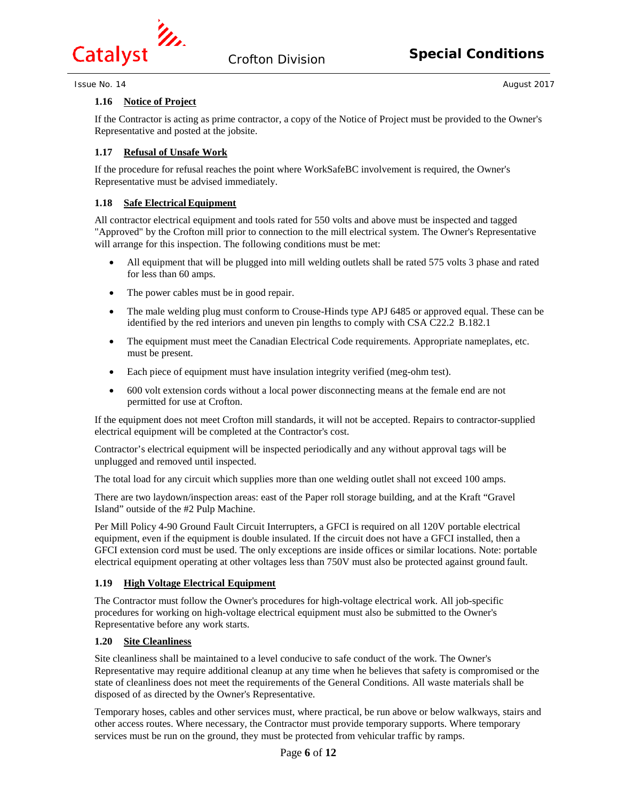

# **1.16 Notice of Project**

If the Contractor is acting as prime contractor, a copy of the Notice of Project must be provided to the Owner's Representative and posted at the jobsite.

# **1.17 Refusal of Unsafe Work**

If the procedure for refusal reaches the point where WorkSafeBC involvement is required, the Owner's Representative must be advised immediately.

# **1.18 Safe Electrical Equipment**

All contractor electrical equipment and tools rated for 550 volts and above must be inspected and tagged "Approved" by the Crofton mill prior to connection to the mill electrical system. The Owner's Representative will arrange for this inspection. The following conditions must be met:

- All equipment that will be plugged into mill welding outlets shall be rated 575 volts 3 phase and rated for less than 60 amps.
- The power cables must be in good repair.
- The male welding plug must conform to Crouse-Hinds type APJ 6485 or approved equal. These can be identified by the red interiors and uneven pin lengths to comply with CSA C22.2 B.182.1
- The equipment must meet the Canadian Electrical Code requirements. Appropriate nameplates, etc. must be present.
- Each piece of equipment must have insulation integrity verified (meg-ohm test).
- 600 volt extension cords without a local power disconnecting means at the female end are not permitted for use at Crofton.

If the equipment does not meet Crofton mill standards, it will not be accepted. Repairs to contractor-supplied electrical equipment will be completed at the Contractor's cost.

Contractor's electrical equipment will be inspected periodically and any without approval tags will be unplugged and removed until inspected.

The total load for any circuit which supplies more than one welding outlet shall not exceed 100 amps.

There are two laydown/inspection areas: east of the Paper roll storage building, and at the Kraft "Gravel Island" outside of the #2 Pulp Machine.

Per Mill Policy 4-90 Ground Fault Circuit Interrupters, a GFCI is required on all 120V portable electrical equipment, even if the equipment is double insulated. If the circuit does not have a GFCI installed, then a GFCI extension cord must be used. The only exceptions are inside offices or similar locations. Note: portable electrical equipment operating at other voltages less than 750V must also be protected against ground fault.

# **1.19 High Voltage Electrical Equipment**

The Contractor must follow the Owner's procedures for high-voltage electrical work. All job-specific procedures for working on high-voltage electrical equipment must also be submitted to the Owner's Representative before any work starts.

# **1.20 Site Cleanliness**

Site cleanliness shall be maintained to a level conducive to safe conduct of the work. The Owner's Representative may require additional cleanup at any time when he believes that safety is compromised or the state of cleanliness does not meet the requirements of the General Conditions. All waste materials shall be disposed of as directed by the Owner's Representative.

Temporary hoses, cables and other services must, where practical, be run above or below walkways, stairs and other access routes. Where necessary, the Contractor must provide temporary supports. Where temporary services must be run on the ground, they must be protected from vehicular traffic by ramps.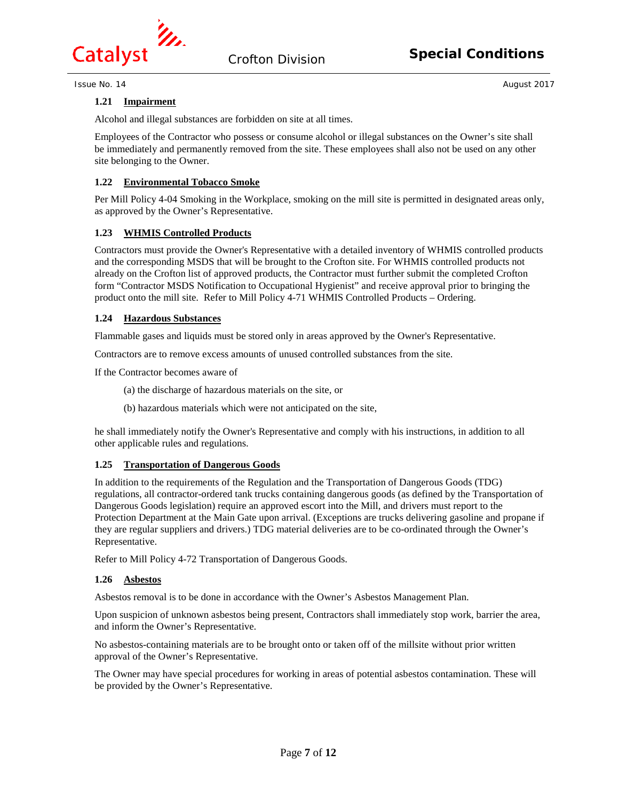

## **1.21 Impairment**

Alcohol and illegal substances are forbidden on site at all times.

Employees of the Contractor who possess or consume alcohol or illegal substances on the Owner's site shall be immediately and permanently removed from the site. These employees shall also not be used on any other site belonging to the Owner.

## **1.22 Environmental Tobacco Smoke**

Per Mill Policy 4-04 Smoking in the Workplace, smoking on the mill site is permitted in designated areas only, as approved by the Owner's Representative.

#### **1.23 WHMIS Controlled Products**

Contractors must provide the Owner's Representative with a detailed inventory of WHMIS controlled products and the corresponding MSDS that will be brought to the Crofton site. For WHMIS controlled products not already on the Crofton list of approved products, the Contractor must further submit the completed Crofton form "Contractor MSDS Notification to Occupational Hygienist" and receive approval prior to bringing the product onto the mill site. Refer to Mill Policy 4-71 WHMIS Controlled Products – Ordering.

### **1.24 Hazardous Substances**

Flammable gases and liquids must be stored only in areas approved by the Owner's Representative.

Contractors are to remove excess amounts of unused controlled substances from the site.

If the Contractor becomes aware of

- (a) the discharge of hazardous materials on the site, or
- (b) hazardous materials which were not anticipated on the site,

he shall immediately notify the Owner's Representative and comply with his instructions, in addition to all other applicable rules and regulations.

#### **1.25 Transportation of Dangerous Goods**

In addition to the requirements of the Regulation and the Transportation of Dangerous Goods (TDG) regulations, all contractor-ordered tank trucks containing dangerous goods (as defined by the Transportation of Dangerous Goods legislation) require an approved escort into the Mill, and drivers must report to the Protection Department at the Main Gate upon arrival. (Exceptions are trucks delivering gasoline and propane if they are regular suppliers and drivers.) TDG material deliveries are to be co-ordinated through the Owner's Representative.

Refer to Mill Policy 4-72 Transportation of Dangerous Goods.

# **1.26 Asbestos**

Asbestos removal is to be done in accordance with the Owner's Asbestos Management Plan.

Upon suspicion of unknown asbestos being present, Contractors shall immediately stop work, barrier the area, and inform the Owner's Representative.

No asbestos-containing materials are to be brought onto or taken off of the millsite without prior written approval of the Owner's Representative.

The Owner may have special procedures for working in areas of potential asbestos contamination. These will be provided by the Owner's Representative.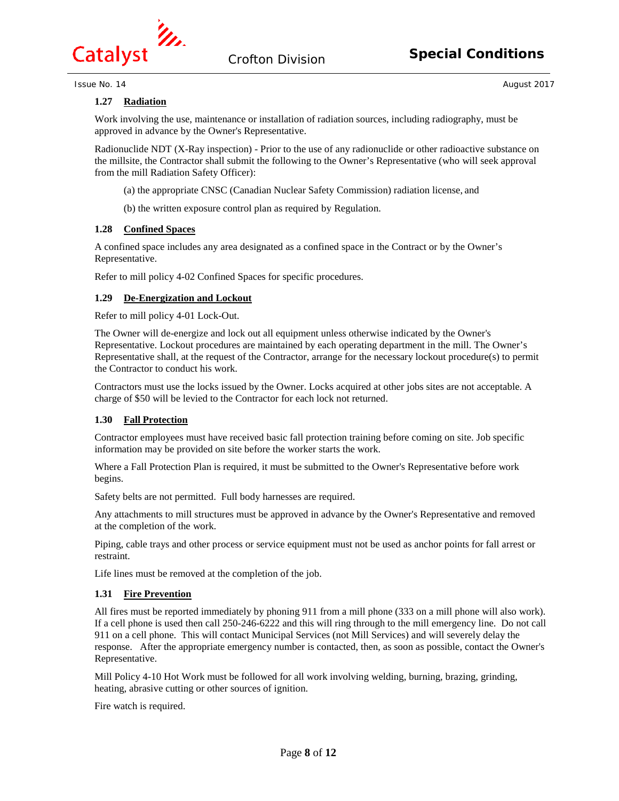

# **Special Conditions** Crofton Division

**Issue No. 14** August 2017

# **1.27 Radiation**

Work involving the use, maintenance or installation of radiation sources, including radiography, must be approved in advance by the Owner's Representative.

Radionuclide NDT (X-Ray inspection) - Prior to the use of any radionuclide or other radioactive substance on the millsite, the Contractor shall submit the following to the Owner's Representative (who will seek approval from the mill Radiation Safety Officer):

- (a) the appropriate CNSC (Canadian Nuclear Safety Commission) radiation license, and
- (b) the written exposure control plan as required by Regulation.

# **1.28 Confined Spaces**

A confined space includes any area designated as a confined space in the Contract or by the Owner's Representative.

Refer to mill policy 4-02 Confined Spaces for specific procedures.

# **1.29 De-Energization and Lockout**

Refer to mill policy 4-01 Lock-Out.

The Owner will de-energize and lock out all equipment unless otherwise indicated by the Owner's Representative. Lockout procedures are maintained by each operating department in the mill. The Owner's Representative shall, at the request of the Contractor, arrange for the necessary lockout procedure(s) to permit the Contractor to conduct his work.

Contractors must use the locks issued by the Owner. Locks acquired at other jobs sites are not acceptable. A charge of \$50 will be levied to the Contractor for each lock not returned.

# **1.30 Fall Protection**

Contractor employees must have received basic fall protection training before coming on site. Job specific information may be provided on site before the worker starts the work.

Where a Fall Protection Plan is required, it must be submitted to the Owner's Representative before work begins.

Safety belts are not permitted. Full body harnesses are required.

Any attachments to mill structures must be approved in advance by the Owner's Representative and removed at the completion of the work.

Piping, cable trays and other process or service equipment must not be used as anchor points for fall arrest or restraint.

Life lines must be removed at the completion of the job.

# **1.31 Fire Prevention**

All fires must be reported immediately by phoning 911 from a mill phone (333 on a mill phone will also work). If a cell phone is used then call 250-246-6222 and this will ring through to the mill emergency line. Do not call 911 on a cell phone. This will contact Municipal Services (not Mill Services) and will severely delay the response. After the appropriate emergency number is contacted, then, as soon as possible, contact the Owner's Representative.

Mill Policy 4-10 Hot Work must be followed for all work involving welding, burning, brazing, grinding, heating, abrasive cutting or other sources of ignition.

Fire watch is required.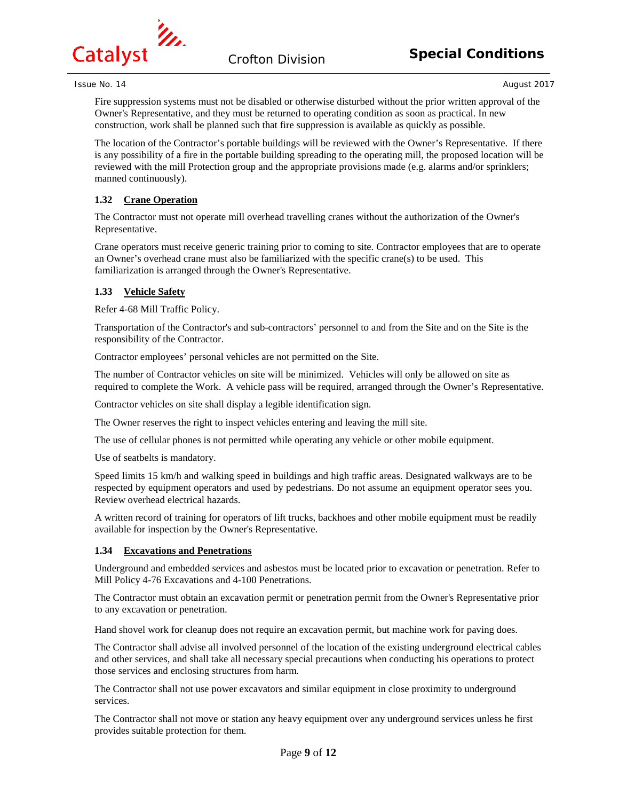

Fire suppression systems must not be disabled or otherwise disturbed without the prior written approval of the Owner's Representative, and they must be returned to operating condition as soon as practical. In new construction, work shall be planned such that fire suppression is available as quickly as possible.

The location of the Contractor's portable buildings will be reviewed with the Owner's Representative. If there is any possibility of a fire in the portable building spreading to the operating mill, the proposed location will be reviewed with the mill Protection group and the appropriate provisions made (e.g. alarms and/or sprinklers; manned continuously).

# **1.32 Crane Operation**

The Contractor must not operate mill overhead travelling cranes without the authorization of the Owner's Representative.

Crane operators must receive generic training prior to coming to site. Contractor employees that are to operate an Owner's overhead crane must also be familiarized with the specific crane(s) to be used. This familiarization is arranged through the Owner's Representative.

# **1.33 Vehicle Safety**

Refer 4-68 Mill Traffic Policy.

Transportation of the Contractor's and sub-contractors' personnel to and from the Site and on the Site is the responsibility of the Contractor.

Contractor employees' personal vehicles are not permitted on the Site.

The number of Contractor vehicles on site will be minimized. Vehicles will only be allowed on site as required to complete the Work. A vehicle pass will be required, arranged through the Owner's Representative.

Contractor vehicles on site shall display a legible identification sign.

The Owner reserves the right to inspect vehicles entering and leaving the mill site.

The use of cellular phones is not permitted while operating any vehicle or other mobile equipment.

Use of seatbelts is mandatory.

Speed limits 15 km/h and walking speed in buildings and high traffic areas. Designated walkways are to be respected by equipment operators and used by pedestrians. Do not assume an equipment operator sees you. Review overhead electrical hazards.

A written record of training for operators of lift trucks, backhoes and other mobile equipment must be readily available for inspection by the Owner's Representative.

# **1.34 Excavations and Penetrations**

Underground and embedded services and asbestos must be located prior to excavation or penetration. Refer to Mill Policy 4-76 Excavations and 4-100 Penetrations.

The Contractor must obtain an excavation permit or penetration permit from the Owner's Representative prior to any excavation or penetration.

Hand shovel work for cleanup does not require an excavation permit, but machine work for paving does.

The Contractor shall advise all involved personnel of the location of the existing underground electrical cables and other services, and shall take all necessary special precautions when conducting his operations to protect those services and enclosing structures from harm.

The Contractor shall not use power excavators and similar equipment in close proximity to underground services.

The Contractor shall not move or station any heavy equipment over any underground services unless he first provides suitable protection for them.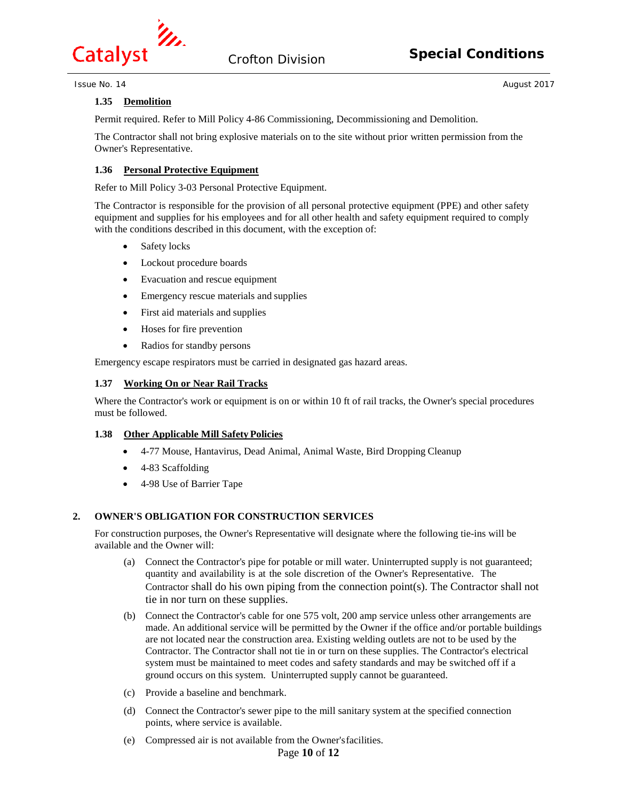

# **Special Conditions** Crofton Division

**Issue No. 14** August 2017

# **1.35 Demolition**

Permit required. Refer to Mill Policy 4-86 Commissioning, Decommissioning and Demolition.

The Contractor shall not bring explosive materials on to the site without prior written permission from the Owner's Representative.

# **1.36 Personal Protective Equipment**

Refer to Mill Policy 3-03 Personal Protective Equipment.

The Contractor is responsible for the provision of all personal protective equipment (PPE) and other safety equipment and supplies for his employees and for all other health and safety equipment required to comply with the conditions described in this document, with the exception of:

- Safety locks
- Lockout procedure boards
- Evacuation and rescue equipment
- Emergency rescue materials and supplies
- First aid materials and supplies
- Hoses for fire prevention
- Radios for standby persons

Emergency escape respirators must be carried in designated gas hazard areas.

#### **1.37 Working On or Near Rail Tracks**

Where the Contractor's work or equipment is on or within 10 ft of rail tracks, the Owner's special procedures must be followed.

# **1.38 Other Applicable Mill Safety Policies**

- 4-77 Mouse, Hantavirus, Dead Animal, Animal Waste, Bird Dropping Cleanup
- 4-83 Scaffolding
- 4-98 Use of Barrier Tape

# **2. OWNER'S OBLIGATION FOR CONSTRUCTION SERVICES**

For construction purposes, the Owner's Representative will designate where the following tie-ins will be available and the Owner will:

- (a) Connect the Contractor's pipe for potable or mill water. Uninterrupted supply is not guaranteed; quantity and availability is at the sole discretion of the Owner's Representative. The Contractor shall do his own piping from the connection point $(s)$ . The Contractor shall not tie in nor turn on these supplies.
- (b) Connect the Contractor's cable for one 575 volt, 200 amp service unless other arrangements are made. An additional service will be permitted by the Owner if the office and/or portable buildings are not located near the construction area. Existing welding outlets are not to be used by the Contractor. The Contractor shall not tie in or turn on these supplies. The Contractor's electrical system must be maintained to meet codes and safety standards and may be switched off if a ground occurs on this system. Uninterrupted supply cannot be guaranteed.
- (c) Provide a baseline and benchmark.
- (d) Connect the Contractor's sewer pipe to the mill sanitary system at the specified connection points, where service is available.
- (e) Compressed air is not available from the Owner'sfacilities.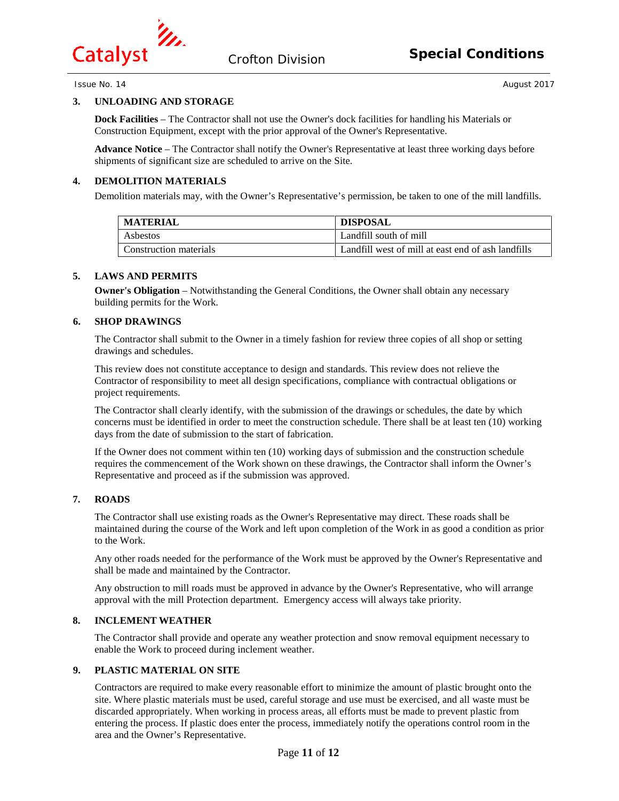

# **3. UNLOADING AND STORAGE**

**Dock Facilities** – The Contractor shall not use the Owner's dock facilities for handling his Materials or Construction Equipment, except with the prior approval of the Owner's Representative.

**Advance Notice** – The Contractor shall notify the Owner's Representative at least three working days before shipments of significant size are scheduled to arrive on the Site.

## **4. DEMOLITION MATERIALS**

Demolition materials may, with the Owner's Representative's permission, be taken to one of the mill landfills.

| <b>MATERIAL</b>        | <b>DISPOSAL</b>                                    |
|------------------------|----------------------------------------------------|
| Asbestos               | Landfill south of mill                             |
| Construction materials | Landfill west of mill at east end of ash landfills |

#### **5. LAWS AND PERMITS**

**Owner's Obligation** – Notwithstanding the General Conditions, the Owner shall obtain any necessary building permits for the Work.

#### **6. SHOP DRAWINGS**

The Contractor shall submit to the Owner in a timely fashion for review three copies of all shop or setting drawings and schedules.

This review does not constitute acceptance to design and standards. This review does not relieve the Contractor of responsibility to meet all design specifications, compliance with contractual obligations or project requirements.

The Contractor shall clearly identify, with the submission of the drawings or schedules, the date by which concerns must be identified in order to meet the construction schedule. There shall be at least ten (10) working days from the date of submission to the start of fabrication.

If the Owner does not comment within ten (10) working days of submission and the construction schedule requires the commencement of the Work shown on these drawings, the Contractor shall inform the Owner's Representative and proceed as if the submission was approved.

#### **7. ROADS**

The Contractor shall use existing roads as the Owner's Representative may direct. These roads shall be maintained during the course of the Work and left upon completion of the Work in as good a condition as prior to the Work.

Any other roads needed for the performance of the Work must be approved by the Owner's Representative and shall be made and maintained by the Contractor.

Any obstruction to mill roads must be approved in advance by the Owner's Representative, who will arrange approval with the mill Protection department. Emergency access will always take priority.

# **8. INCLEMENT WEATHER**

The Contractor shall provide and operate any weather protection and snow removal equipment necessary to enable the Work to proceed during inclement weather.

# **9. PLASTIC MATERIAL ON SITE**

Contractors are required to make every reasonable effort to minimize the amount of plastic brought onto the site. Where plastic materials must be used, careful storage and use must be exercised, and all waste must be discarded appropriately. When working in process areas, all efforts must be made to prevent plastic from entering the process. If plastic does enter the process, immediately notify the operations control room in the area and the Owner's Representative.